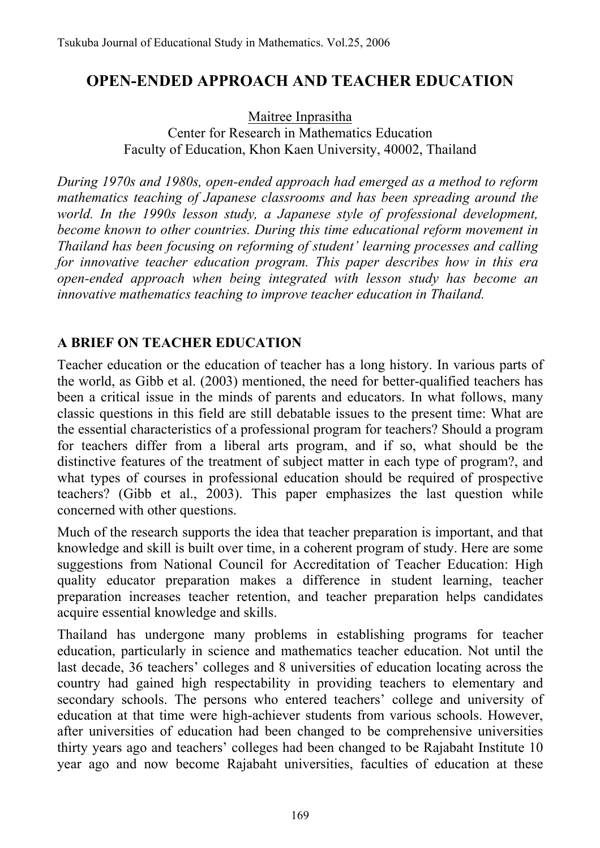## **OPEN-ENDED APPROACH AND TEACHER EDUCATION**

Maitree Inprasitha Center for Research in Mathematics Education Faculty of Education, Khon Kaen University, 40002, Thailand

*During 1970s and 1980s, open-ended approach had emerged as a method to reform mathematics teaching of Japanese classrooms and has been spreading around the world. In the 1990s lesson study, a Japanese style of professional development, become known to other countries. During this time educational reform movement in Thailand has been focusing on reforming of student' learning processes and calling for innovative teacher education program. This paper describes how in this era open-ended approach when being integrated with lesson study has become an innovative mathematics teaching to improve teacher education in Thailand.* 

### **A BRIEF ON TEACHER EDUCATION**

Teacher education or the education of teacher has a long history. In various parts of the world, as Gibb et al. (2003) mentioned, the need for better-qualified teachers has been a critical issue in the minds of parents and educators. In what follows, many classic questions in this field are still debatable issues to the present time: What are the essential characteristics of a professional program for teachers? Should a program for teachers differ from a liberal arts program, and if so, what should be the distinctive features of the treatment of subject matter in each type of program?, and what types of courses in professional education should be required of prospective teachers? (Gibb et al., 2003). This paper emphasizes the last question while concerned with other questions.

Much of the research supports the idea that teacher preparation is important, and that knowledge and skill is built over time, in a coherent program of study. Here are some suggestions from National Council for Accreditation of Teacher Education: High quality educator preparation makes a difference in student learning, teacher preparation increases teacher retention, and teacher preparation helps candidates acquire essential knowledge and skills.

Thailand has undergone many problems in establishing programs for teacher education, particularly in science and mathematics teacher education. Not until the last decade, 36 teachers' colleges and 8 universities of education locating across the country had gained high respectability in providing teachers to elementary and secondary schools. The persons who entered teachers' college and university of education at that time were high-achiever students from various schools. However, after universities of education had been changed to be comprehensive universities thirty years ago and teachers' colleges had been changed to be Rajabaht Institute 10 year ago and now become Rajabaht universities, faculties of education at these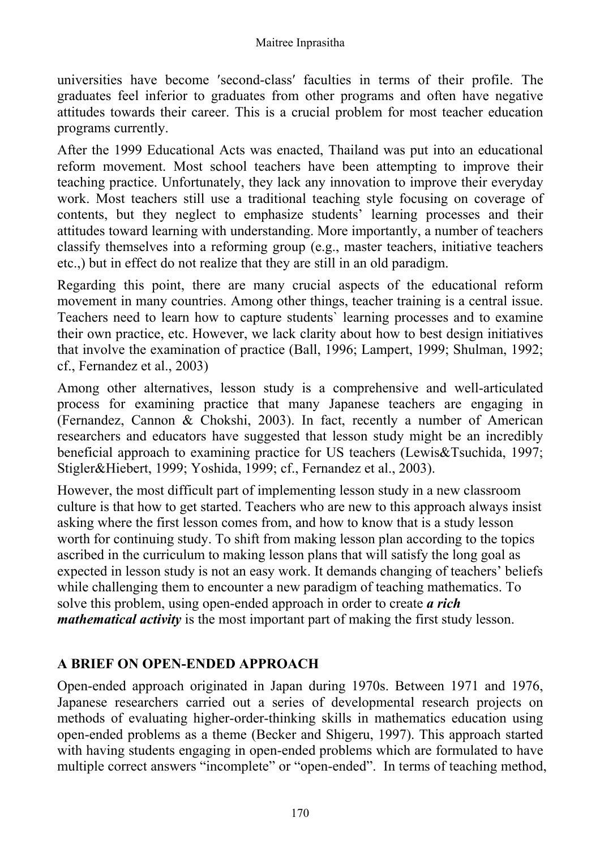#### Maitree Inprasitha

universities have become ′second-class′ faculties in terms of their profile. The graduates feel inferior to graduates from other programs and often have negative attitudes towards their career. This is a crucial problem for most teacher education programs currently.

After the 1999 Educational Acts was enacted, Thailand was put into an educational reform movement. Most school teachers have been attempting to improve their teaching practice. Unfortunately, they lack any innovation to improve their everyday work. Most teachers still use a traditional teaching style focusing on coverage of contents, but they neglect to emphasize students' learning processes and their attitudes toward learning with understanding. More importantly, a number of teachers classify themselves into a reforming group (e.g., master teachers, initiative teachers etc.,) but in effect do not realize that they are still in an old paradigm.

Regarding this point, there are many crucial aspects of the educational reform movement in many countries. Among other things, teacher training is a central issue. Teachers need to learn how to capture students` learning processes and to examine their own practice, etc. However, we lack clarity about how to best design initiatives that involve the examination of practice (Ball, 1996; Lampert, 1999; Shulman, 1992; cf., Fernandez et al., 2003)

Among other alternatives, lesson study is a comprehensive and well-articulated process for examining practice that many Japanese teachers are engaging in (Fernandez, Cannon & Chokshi, 2003). In fact, recently a number of American researchers and educators have suggested that lesson study might be an incredibly beneficial approach to examining practice for US teachers (Lewis&Tsuchida, 1997; Stigler&Hiebert, 1999; Yoshida, 1999; cf., Fernandez et al., 2003).

However, the most difficult part of implementing lesson study in a new classroom culture is that how to get started. Teachers who are new to this approach always insist asking where the first lesson comes from, and how to know that is a study lesson worth for continuing study. To shift from making lesson plan according to the topics ascribed in the curriculum to making lesson plans that will satisfy the long goal as expected in lesson study is not an easy work. It demands changing of teachers' beliefs while challenging them to encounter a new paradigm of teaching mathematics. To solve this problem, using open-ended approach in order to create *a rich mathematical activity* is the most important part of making the first study lesson.

#### **A BRIEF ON OPEN-ENDED APPROACH**

Open-ended approach originated in Japan during 1970s. Between 1971 and 1976, Japanese researchers carried out a series of developmental research projects on methods of evaluating higher-order-thinking skills in mathematics education using open-ended problems as a theme (Becker and Shigeru, 1997). This approach started with having students engaging in open-ended problems which are formulated to have multiple correct answers "incomplete" or "open-ended". In terms of teaching method,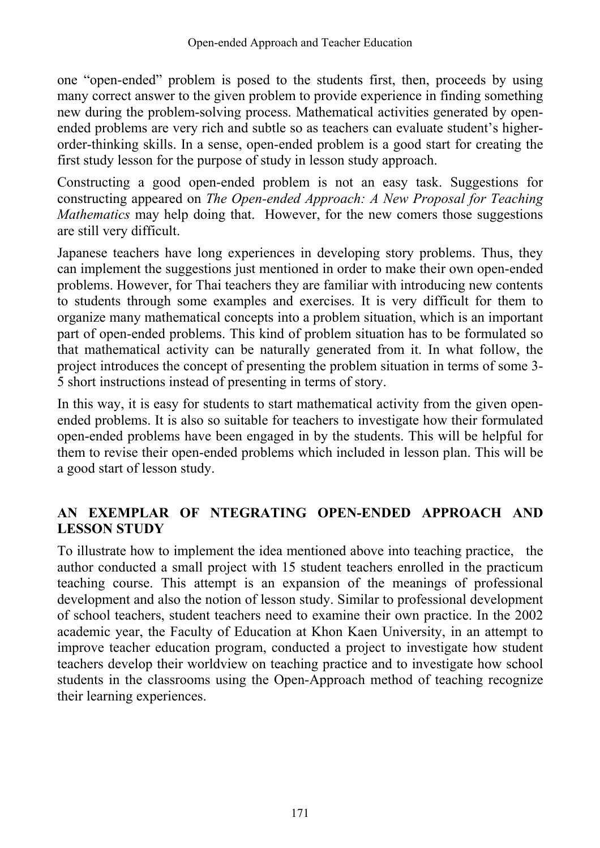one "open-ended" problem is posed to the students first, then, proceeds by using many correct answer to the given problem to provide experience in finding something new during the problem-solving process. Mathematical activities generated by openended problems are very rich and subtle so as teachers can evaluate student's higherorder-thinking skills. In a sense, open-ended problem is a good start for creating the first study lesson for the purpose of study in lesson study approach.

Constructing a good open-ended problem is not an easy task. Suggestions for constructing appeared on *The Open-ended Approach: A New Proposal for Teaching Mathematics* may help doing that. However, for the new comers those suggestions are still very difficult.

Japanese teachers have long experiences in developing story problems. Thus, they can implement the suggestions just mentioned in order to make their own open-ended problems. However, for Thai teachers they are familiar with introducing new contents to students through some examples and exercises. It is very difficult for them to organize many mathematical concepts into a problem situation, which is an important part of open-ended problems. This kind of problem situation has to be formulated so that mathematical activity can be naturally generated from it. In what follow, the project introduces the concept of presenting the problem situation in terms of some 3- 5 short instructions instead of presenting in terms of story.

In this way, it is easy for students to start mathematical activity from the given openended problems. It is also so suitable for teachers to investigate how their formulated open-ended problems have been engaged in by the students. This will be helpful for them to revise their open-ended problems which included in lesson plan. This will be a good start of lesson study.

### **AN EXEMPLAR OF NTEGRATING OPEN-ENDED APPROACH AND LESSON STUDY**

To illustrate how to implement the idea mentioned above into teaching practice, the author conducted a small project with 15 student teachers enrolled in the practicum teaching course. This attempt is an expansion of the meanings of professional development and also the notion of lesson study. Similar to professional development of school teachers, student teachers need to examine their own practice. In the 2002 academic year, the Faculty of Education at Khon Kaen University, in an attempt to improve teacher education program, conducted a project to investigate how student teachers develop their worldview on teaching practice and to investigate how school students in the classrooms using the Open-Approach method of teaching recognize their learning experiences.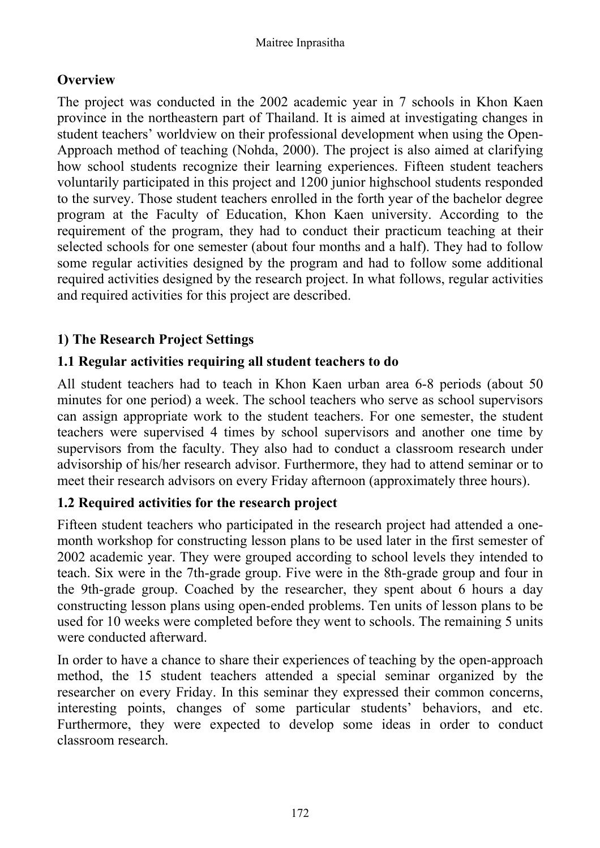## **Overview**

The project was conducted in the 2002 academic year in 7 schools in Khon Kaen province in the northeastern part of Thailand. It is aimed at investigating changes in student teachers' worldview on their professional development when using the Open-Approach method of teaching (Nohda, 2000). The project is also aimed at clarifying how school students recognize their learning experiences. Fifteen student teachers voluntarily participated in this project and 1200 junior highschool students responded to the survey. Those student teachers enrolled in the forth year of the bachelor degree program at the Faculty of Education, Khon Kaen university. According to the requirement of the program, they had to conduct their practicum teaching at their selected schools for one semester (about four months and a half). They had to follow some regular activities designed by the program and had to follow some additional required activities designed by the research project. In what follows, regular activities and required activities for this project are described.

## **1) The Research Project Settings**

### **1.1 Regular activities requiring all student teachers to do**

All student teachers had to teach in Khon Kaen urban area 6-8 periods (about 50 minutes for one period) a week. The school teachers who serve as school supervisors can assign appropriate work to the student teachers. For one semester, the student teachers were supervised 4 times by school supervisors and another one time by supervisors from the faculty. They also had to conduct a classroom research under advisorship of his/her research advisor. Furthermore, they had to attend seminar or to meet their research advisors on every Friday afternoon (approximately three hours).

#### **1.2 Required activities for the research project**

Fifteen student teachers who participated in the research project had attended a onemonth workshop for constructing lesson plans to be used later in the first semester of 2002 academic year. They were grouped according to school levels they intended to teach. Six were in the 7th-grade group. Five were in the 8th-grade group and four in the 9th-grade group. Coached by the researcher, they spent about 6 hours a day constructing lesson plans using open-ended problems. Ten units of lesson plans to be used for 10 weeks were completed before they went to schools. The remaining 5 units were conducted afterward.

In order to have a chance to share their experiences of teaching by the open-approach method, the 15 student teachers attended a special seminar organized by the researcher on every Friday. In this seminar they expressed their common concerns, interesting points, changes of some particular students' behaviors, and etc. Furthermore, they were expected to develop some ideas in order to conduct classroom research.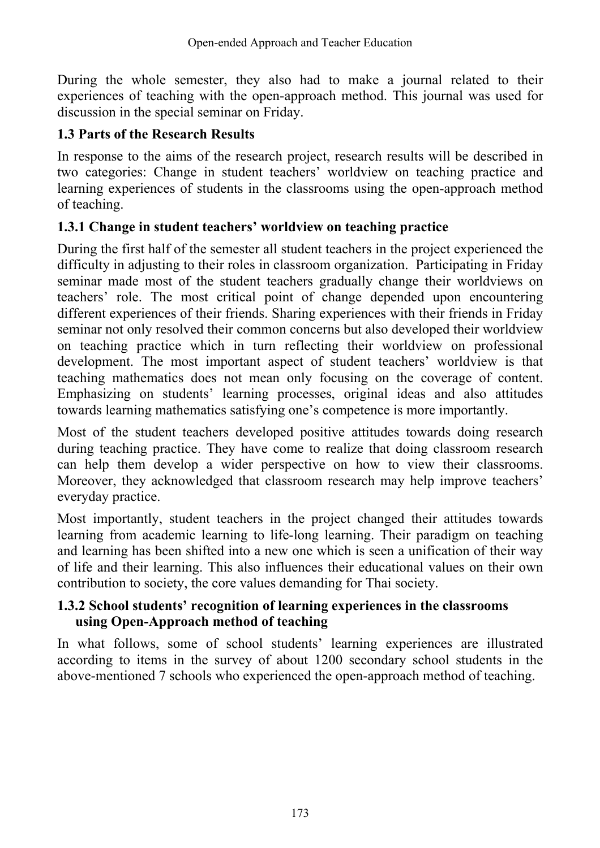During the whole semester, they also had to make a journal related to their experiences of teaching with the open-approach method. This journal was used for discussion in the special seminar on Friday.

#### **1.3 Parts of the Research Results**

In response to the aims of the research project, research results will be described in two categories: Change in student teachers' worldview on teaching practice and learning experiences of students in the classrooms using the open-approach method of teaching.

#### **1.3.1 Change in student teachers' worldview on teaching practice**

During the first half of the semester all student teachers in the project experienced the difficulty in adjusting to their roles in classroom organization. Participating in Friday seminar made most of the student teachers gradually change their worldviews on teachers' role. The most critical point of change depended upon encountering different experiences of their friends. Sharing experiences with their friends in Friday seminar not only resolved their common concerns but also developed their worldview on teaching practice which in turn reflecting their worldview on professional development. The most important aspect of student teachers' worldview is that teaching mathematics does not mean only focusing on the coverage of content. Emphasizing on students' learning processes, original ideas and also attitudes towards learning mathematics satisfying one's competence is more importantly.

Most of the student teachers developed positive attitudes towards doing research during teaching practice. They have come to realize that doing classroom research can help them develop a wider perspective on how to view their classrooms. Moreover, they acknowledged that classroom research may help improve teachers' everyday practice.

Most importantly, student teachers in the project changed their attitudes towards learning from academic learning to life-long learning. Their paradigm on teaching and learning has been shifted into a new one which is seen a unification of their way of life and their learning. This also influences their educational values on their own contribution to society, the core values demanding for Thai society.

#### **1.3.2 School students' recognition of learning experiences in the classrooms using Open-Approach method of teaching**

In what follows, some of school students' learning experiences are illustrated according to items in the survey of about 1200 secondary school students in the above-mentioned 7 schools who experienced the open-approach method of teaching.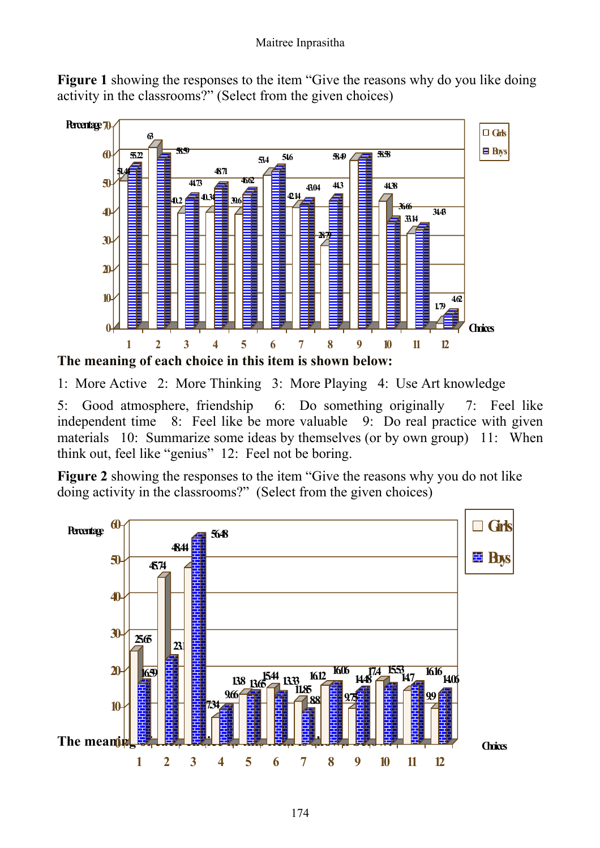**Figure 1** showing the responses to the item "Give the reasons why do you like doing activity in the classrooms?" (Select from the given choices)



1: More Active 2: More Thinking 3: More Playing 4: Use Art knowledge

5: Good atmosphere, friendship 6: Do something originally 7: Feel like independent time 8: Feel like be more valuable 9: Do real practice with given materials 10: Summarize some ideas by themselves (or by own group) 11: When think out, feel like "genius" 12: Feel not be boring.

**Figure 2** showing the responses to the item "Give the reasons why you do not like doing activity in the classrooms?" (Select from the given choices)

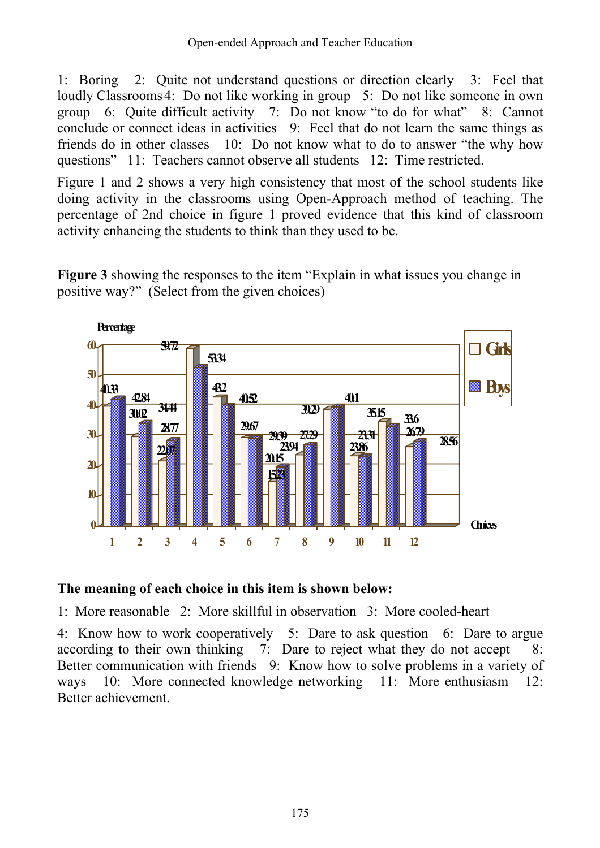1: Boring 2: Quite not understand questions or direction clearly 3: Feel that loudly Classrooms 4: Do not like working in group 5: Do not like someone in own group 6: Quite difficult activity 7: Do not know "to do for what" 8: Cannot conclude or connect ideas in activities 9: Feel that do not learn the same things as friends do in other classes 10: Do not know what to do to answer "the why how questions" 11: Teachers cannot observe all students 12: Time restricted.

Figure 1 and 2 shows a very high consistency that most of the school students like doing activity in the classrooms using Open-Approach method of teaching. The percentage of 2nd choice in figure 1 proved evidence that this kind of classroom activity enhancing the students to think than they used to be.

**Figure 3** showing the responses to the item "Explain in what issues you change in positive way?" (Select from the given choices)



#### **The meaning of each choice in this item is shown below:**

1: More reasonable 2: More skillful in observation 3: More cooled-heart

4: Know how to work cooperatively 5: Dare to ask question 6: Dare to argue according to their own thinking 7: Dare to reject what they do not accept 8: Better communication with friends 9: Know how to solve problems in a variety of ways 10: More connected knowledge networking 11: More enthusiasm 12: Better achievement.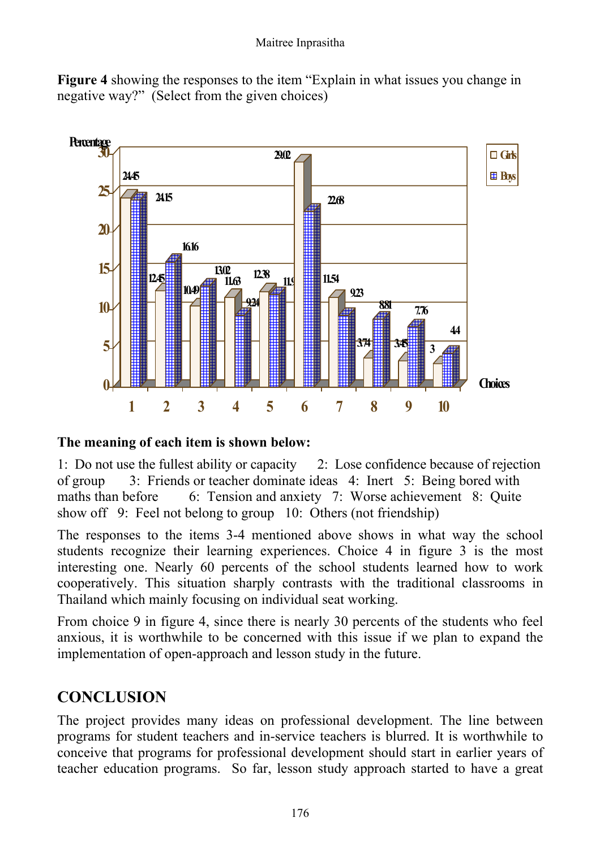



#### **The meaning of each item is shown below:**

1: Do not use the fullest ability or capacity 2: Lose confidence because of rejection of group 3: Friends or teacher dominate ideas 4: Inert 5: Being bored with maths than before 6: Tension and anxiety 7: Worse achievement 8: Quite show off 9: Feel not belong to group 10: Others (not friendship)

The responses to the items 3-4 mentioned above shows in what way the school students recognize their learning experiences. Choice 4 in figure 3 is the most interesting one. Nearly 60 percents of the school students learned how to work cooperatively. This situation sharply contrasts with the traditional classrooms in Thailand which mainly focusing on individual seat working.

From choice 9 in figure 4, since there is nearly 30 percents of the students who feel anxious, it is worthwhile to be concerned with this issue if we plan to expand the implementation of open-approach and lesson study in the future.

## **CONCLUSION**

The project provides many ideas on professional development. The line between programs for student teachers and in-service teachers is blurred. It is worthwhile to conceive that programs for professional development should start in earlier years of teacher education programs. So far, lesson study approach started to have a great